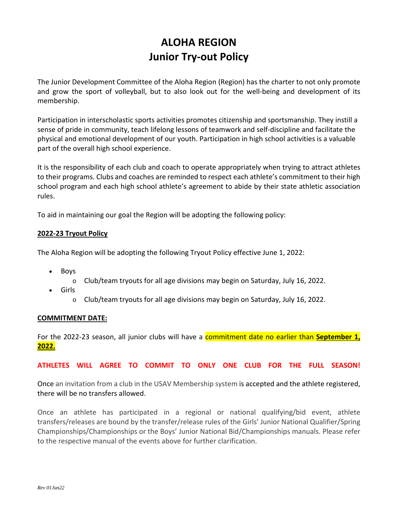# **ALOHA REGION Junior Try-out Policy**

The Junior Development Committee of the Aloha Region (Region) has the charter to not only promote and grow the sport of volleyball, but to also look out for the well-being and development of its membership.

Participation in interscholastic sports activities promotes citizenship and sportsmanship. They instill a sense of pride in community, teach lifelong lessons of teamwork and self-discipline and facilitate the physical and emotional development of our youth. Participation in high school activities is a valuable part of the overall high school experience.

It is the responsibility of each club and coach to operate appropriately when trying to attract athletes to their programs. Clubs and coaches are reminded to respect each athlete's commitment to their high school program and each high school athlete's agreement to abide by their state athletic association rules.

To aid in maintaining our goal the Region will be adopting the following policy:

### **2022-23 Tryout Policy**

The Aloha Region will be adopting the following Tryout Policy effective June 1, 2022:

- Boys
	- o Club/team tryouts for all age divisions may begin on Saturday, July 16, 2022.
- Girls
	- o Club/team tryouts for all age divisions may begin on Saturday, July 16, 2022.

#### **COMMITMENT DATE:**

For the 2022-23 season, all junior clubs will have a commitment date no earlier than **September 1, 2022.** 

#### **ATHLETES WILL AGREE TO COMMIT TO ONLY ONE CLUB FOR THE FULL SEASON!**

Once an invitation from a club in the USAV Membership system is accepted and the athlete registered, there will be no transfers allowed.

Once an athlete has participated in a regional or national qualifying/bid event, athlete transfers/releases are bound by the transfer/release rules of the Girls' Junior National Qualifier/Spring Championships/Championships or the Boys' Junior National Bid/Championships manuals. Please refer to the respective manual of the events above for further clarification.